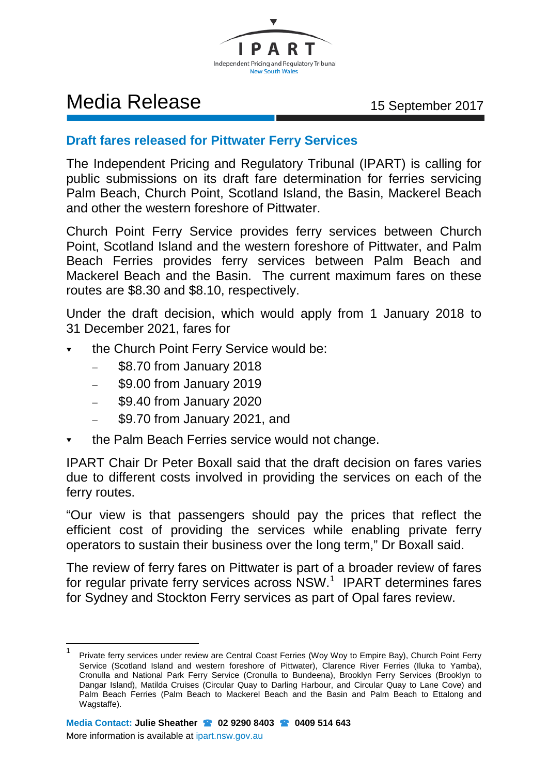

## Media Release 15 September 2017

## **Draft fares released for Pittwater Ferry Services**

The Independent Pricing and Regulatory Tribunal (IPART) is calling for public submissions on its draft fare determination for ferries servicing Palm Beach, Church Point, Scotland Island, the Basin, Mackerel Beach and other the western foreshore of Pittwater.

Church Point Ferry Service provides ferry services between Church Point, Scotland Island and the western foreshore of Pittwater, and Palm Beach Ferries provides ferry services between Palm Beach and Mackerel Beach and the Basin. The current maximum fares on these routes are \$8.30 and \$8.10, respectively.

Under the draft decision, which would apply from 1 January 2018 to 31 December 2021, fares for

- $\bullet$  the Church Point Ferry Service would be:
	- \$8.70 from January 2018
	- \$9.00 from January 2019
	- \$9.40 from January 2020
	- \$9.70 from January 2021, and
- the Palm Beach Ferries service would not change.

IPART Chair Dr Peter Boxall said that the draft decision on fares varies due to different costs involved in providing the services on each of the ferry routes.

"Our view is that passengers should pay the prices that reflect the efficient cost of providing the services while enabling private ferry operators to sustain their business over the long term," Dr Boxall said.

The review of ferry fares on Pittwater is part of a broader review of fares for regular private ferry services across  $NSW$ .<sup>[1](#page-0-0)</sup> IPART determines fares for Sydney and Stockton Ferry services as part of Opal fares review.

<span id="page-0-0"></span>Private ferry services under review are Central Coast Ferries (Woy Woy to Empire Bay), Church Point Ferry Service (Scotland Island and western foreshore of Pittwater), Clarence River Ferries (Iluka to Yamba), Cronulla and National Park Ferry Service (Cronulla to Bundeena), Brooklyn Ferry Services (Brooklyn to Dangar Island), Matilda Cruises (Circular Quay to Darling Harbour, and Circular Quay to Lane Cove) and Palm Beach Ferries (Palm Beach to Mackerel Beach and the Basin and Palm Beach to Ettalong and Wagstaffe).